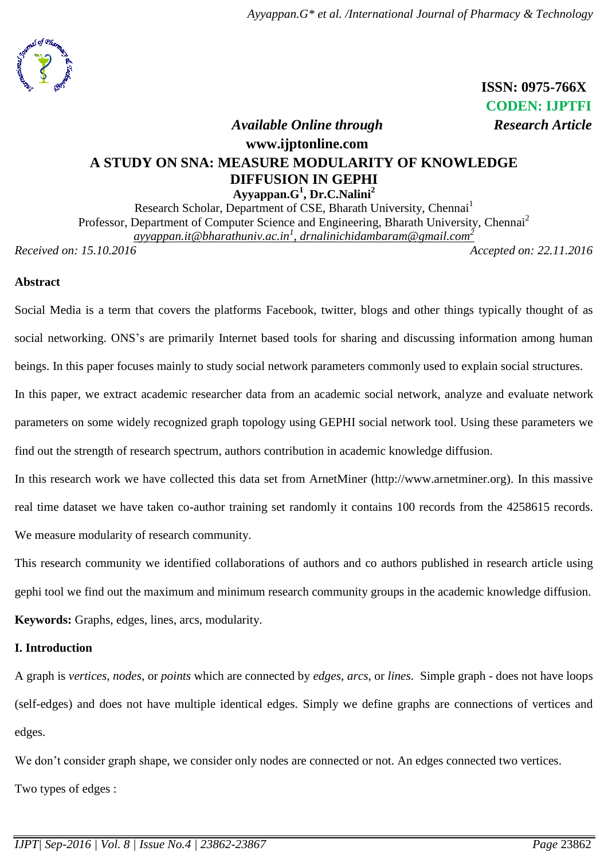

# **ISSN: 0975-766X CODEN: IJPTFI**

## *Available Online through Research Article* **www.ijptonline.com A STUDY ON SNA: MEASURE MODULARITY OF KNOWLEDGE DIFFUSION IN GEPHI**

**Ayyappan.G<sup>1</sup> , Dr.C.Nalini<sup>2</sup>**

Research Scholar, Department of CSE, Bharath University, Chennai<sup>1</sup> Professor, Department of Computer Science and Engineering, Bharath University, Chennai<sup>2</sup> *ayyappan.it@bharathuniv.ac.in<sup>1</sup> , drnalinichidambaram@gmail.com 2*

*Received on: 15.10.2016 Accepted on: 22.11.2016*

## **Abstract**

Social Media is a term that covers the platforms Facebook, twitter, blogs and other things typically thought of as social networking. ONS's are primarily Internet based tools for sharing and discussing information among human beings. In this paper focuses mainly to study social network parameters commonly used to explain social structures. In this paper, we extract academic researcher data from an academic social network, analyze and evaluate network parameters on some widely recognized graph topology using GEPHI social network tool. Using these parameters we find out the strength of research spectrum, authors contribution in academic knowledge diffusion.

In this research work we have collected this data set from ArnetMiner (http://www.arnetminer.org). In this massive real time dataset we have taken co-author training set randomly it contains 100 records from the 4258615 records. We measure modularity of research community.

This research community we identified collaborations of authors and co authors published in research article using gephi tool we find out the maximum and minimum research community groups in the academic knowledge diffusion. **Keywords:** Graphs, edges, lines, arcs, modularity.

## **I. Introduction**

A graph is *[vertices](https://en.wikipedia.org/wiki/Vertex_%28graph_theory%29)*, *nodes*, or *points* which are connected by *edges*, *arcs*, or *lines*. Simple graph - does not have loops (self-edges) and does not have multiple identical edges. Simply we define graphs are connections of vertices and edges.

We don't consider graph shape, we consider only nodes are connected or not. An edges connected two vertices. Two types of edges :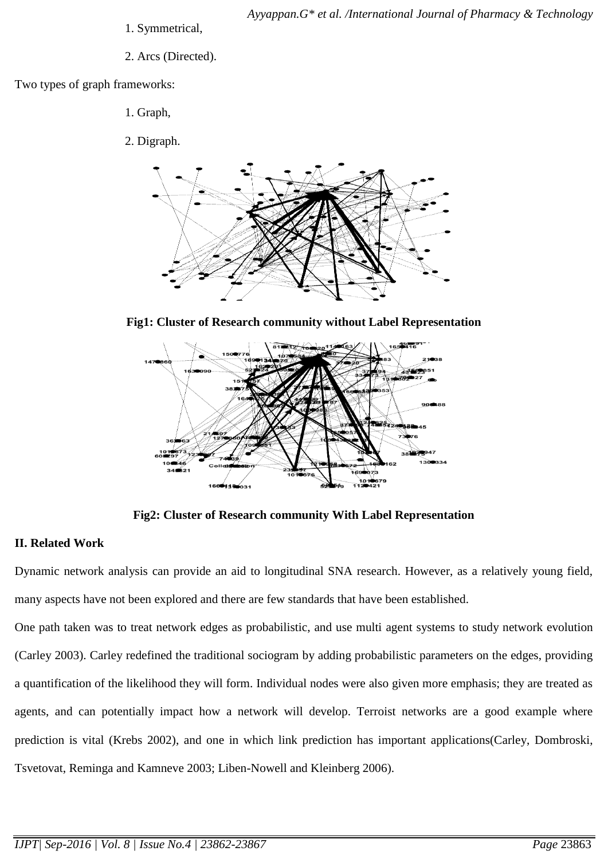- 1. Symmetrical,
- 2. Arcs (Directed).

Two types of graph frameworks:

- 1. Graph,
- 2. Digraph.



**Fig1: Cluster of Research community without Label Representation**



**Fig2: Cluster of Research community With Label Representation**

## **II. Related Work**

Dynamic network analysis can provide an aid to longitudinal SNA research. However, as a relatively young field, many aspects have not been explored and there are few standards that have been established.

One path taken was to treat network edges as probabilistic, and use multi agent systems to study network evolution (Carley 2003). Carley redefined the traditional sociogram by adding probabilistic parameters on the edges, providing a quantification of the likelihood they will form. Individual nodes were also given more emphasis; they are treated as agents, and can potentially impact how a network will develop. Terroist networks are a good example where prediction is vital (Krebs 2002), and one in which link prediction has important applications(Carley, Dombroski, Tsvetovat, Reminga and Kamneve 2003; Liben-Nowell and Kleinberg 2006).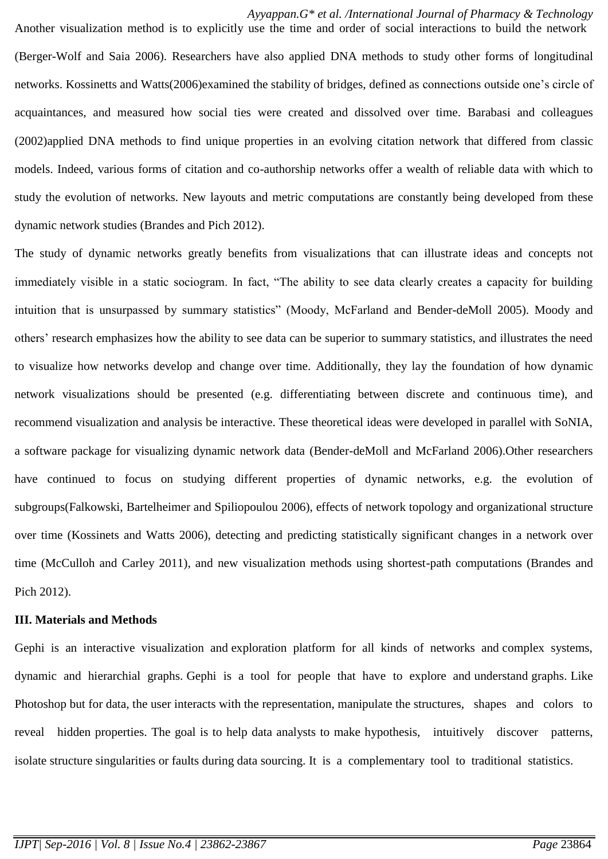*Ayyappan.G\* et al. /International Journal of Pharmacy & Technology*

Another visualization method is to explicitly use the time and order of social interactions to build the network (Berger-Wolf and Saia 2006). Researchers have also applied DNA methods to study other forms of longitudinal networks. Kossinetts and Watts(2006)examined the stability of bridges, defined as connections outside one's circle of acquaintances, and measured how social ties were created and dissolved over time. Barabasi and colleagues (2002)applied DNA methods to find unique properties in an evolving citation network that differed from classic models. Indeed, various forms of citation and co-authorship networks offer a wealth of reliable data with which to study the evolution of networks. New layouts and metric computations are constantly being developed from these dynamic network studies (Brandes and Pich 2012).

The study of dynamic networks greatly benefits from visualizations that can illustrate ideas and concepts not immediately visible in a static sociogram. In fact, "The ability to see data clearly creates a capacity for building intuition that is unsurpassed by summary statistics" (Moody, McFarland and Bender-deMoll 2005). Moody and others' research emphasizes how the ability to see data can be superior to summary statistics, and illustrates the need to visualize how networks develop and change over time. Additionally, they lay the foundation of how dynamic network visualizations should be presented (e.g. differentiating between discrete and continuous time), and recommend visualization and analysis be interactive. These theoretical ideas were developed in parallel with SoNIA, a software package for visualizing dynamic network data (Bender-deMoll and McFarland 2006).Other researchers have continued to focus on studying different properties of dynamic networks, e.g. the evolution of subgroups(Falkowski, Bartelheimer and Spiliopoulou 2006), effects of network topology and organizational structure over time (Kossinets and Watts 2006), detecting and predicting statistically significant changes in a network over time (McCulloh and Carley 2011), and new visualization methods using shortest-path computations (Brandes and Pich 2012).

### **III. Materials and Methods**

Gephi is an interactive visualization and exploration platform for all kinds of networks and complex systems, dynamic and hierarchial graphs. Gephi is a tool for people that have to explore and understand graphs. Like Photoshop but for data, the user interacts with the representation, manipulate the structures, shapes and colors to reveal hidden properties. The goal is to help data analysts to make hypothesis, intuitively discover patterns, isolate structure singularities or faults during data sourcing. It is a complementary tool to traditional statistics.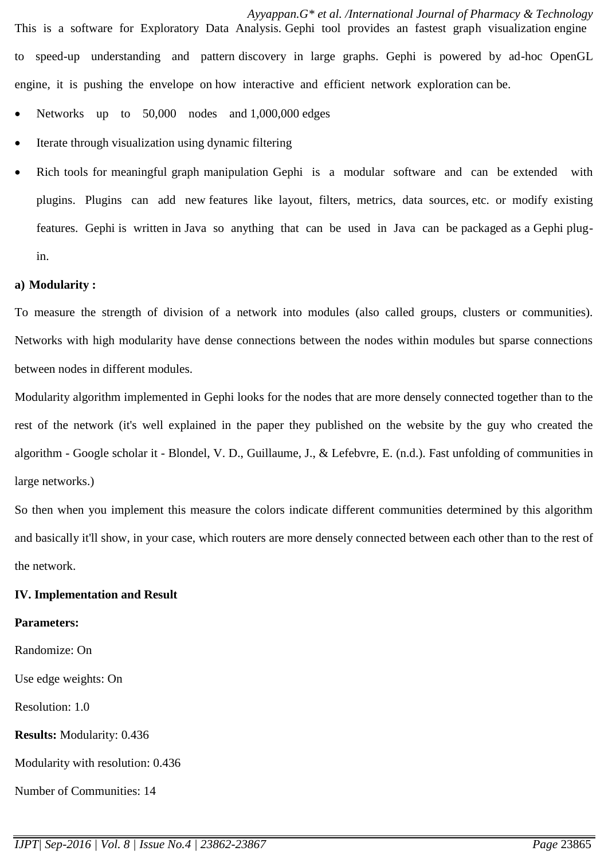*Ayyappan.G\* et al. /International Journal of Pharmacy & Technology* This is a software for Exploratory Data Analysis. Gephi tool provides an fastest graph visualization engine to speed-up understanding and pattern discovery in large graphs. Gephi is powered by ad-hoc OpenGL engine, it is pushing the envelope on how interactive and efficient network exploration can be.

- Networks up to 50,000 nodes and 1,000,000 edges
- Iterate through visualization using dynamic filtering
- Rich tools for meaningful graph manipulation Gephi is a modular software and can be extended with plugins. Plugins can add new features like layout, filters, metrics, data sources, etc. or modify existing features. Gephi is written in Java so anything that can be used in Java can be packaged as a Gephi plugin.

#### **a) Modularity :**

To measure the strength of division of a network into modules (also called groups, clusters or communities). Networks with high modularity have dense connections between the nodes within modules but sparse connections between nodes in different modules.

Modularity algorithm implemented in Gephi looks for the nodes that are more densely connected together than to the rest of the network (it's well explained in the paper they published on the website by the guy who created the algorithm - Google scholar it - Blondel, V. D., Guillaume, J., & Lefebvre, E. (n.d.). Fast unfolding of communities in large networks.)

So then when you implement this measure the colors indicate different communities determined by this algorithm and basically it'll show, in your case, which routers are more densely connected between each other than to the rest of the network.

#### **IV. Implementation and Result**

#### **Parameters:**

Randomize: On

Use edge weights: On

Resolution: 1.0

**Results:** Modularity: 0.436

Modularity with resolution: 0.436

Number of Communities: 14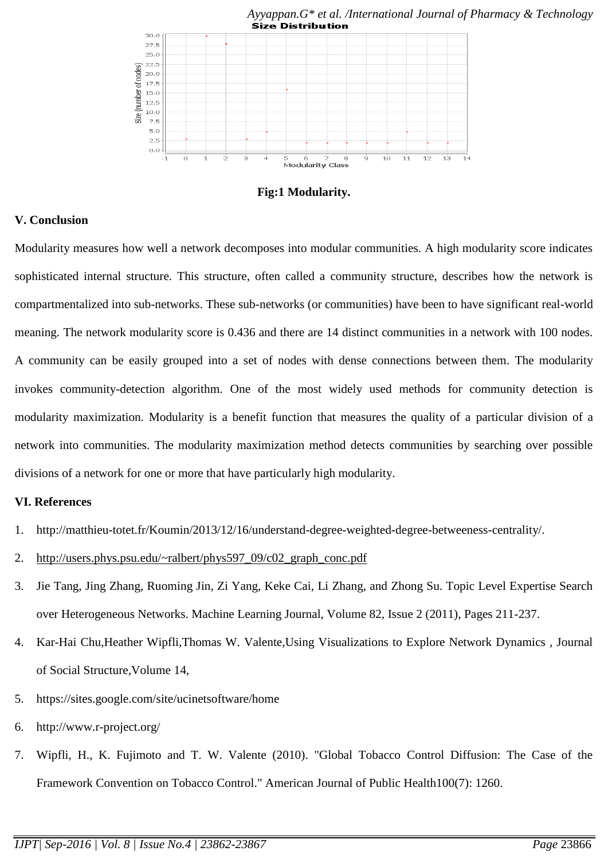

*Ayyappan.G\* et al. /International Journal of Pharmacy & Technology*

**Fig:1 Modularity.** 

#### **V. Conclusion**

Modularity measures how well a network decomposes into modular communities. A high modularity score indicates sophisticated internal structure. This structure, often called a community structure, describes how the network is compartmentalized into sub-networks. These sub-networks (or communities) have been to have significant real-world meaning. The network modularity score is 0.436 and there are 14 distinct communities in a network with 100 nodes. A community can be easily grouped into a set of nodes with dense connections between them. The modularity invokes community-detection algorithm. One of the most widely used methods for community detection is modularity maximization. Modularity is a benefit function that measures the quality of a particular division of a network into communities. The modularity maximization method detects communities by searching over possible divisions of a network for one or more that have particularly high modularity.

## **VI. References**

- 1. [http://matthieu-totet.fr/Koumin/2013/12/16/understand-degree-weighted-degree-betweeness-centrality/.](http://matthieu-totet.fr/Koumin/2013/12/16/understand-degree-weighted-degree-betweeness-centrality/)
- 2. [http://users.phys.psu.edu/~ralbert/phys597\\_09/c02\\_graph\\_conc.pdf](http://users.phys.psu.edu/~ralbert/phys597_09/c02_graph_conc.pdf)
- 3. Jie Tang, Jing Zhang, Ruoming Jin, Zi Yang, Keke Cai, Li Zhang, and Zhong Su. Topic Level Expertise Search over Heterogeneous Networks. Machine Learning Journal, Volume 82, Issue 2 (2011), Pages 211-237.
- 4. Kar-Hai Chu,Heather Wipfli,Thomas W. Valente,Using Visualizations to Explore Network Dynamics , Journal of Social Structure,Volume 14,
- 5. <https://sites.google.com/site/ucinetsoftware/home>
- 6. <http://www.r-project.org/>
- 7. Wipfli, H., K. Fujimoto and T. W. Valente (2010). "Global Tobacco Control Diffusion: The Case of the Framework Convention on Tobacco Control." American Journal of Public Health100(7): 1260.